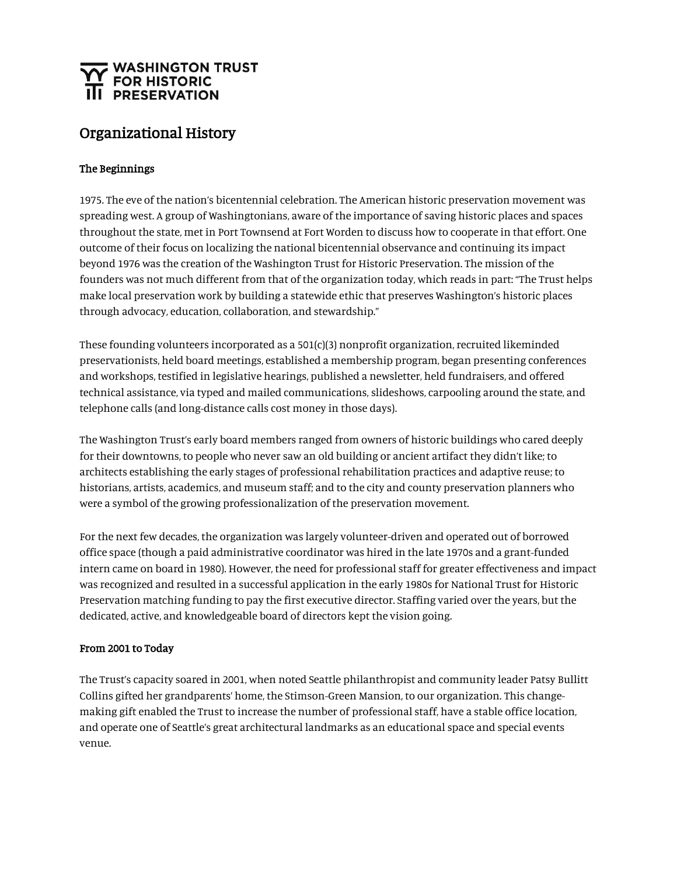# **WASHINGTON TRUST FOR HISTORIC III PRESERVATION**

# Organizational History

# The Beginnings

1975. The eve of the nation's bicentennial celebration. The American historic preservation movement was spreading west. A group of Washingtonians, aware of the importance of saving historic places and spaces throughout the state, met in Port Townsend at Fort Worden to discuss how to cooperate in that effort. One outcome of their focus on localizing the national bicentennial observance and continuing its impact beyond 1976 was the creation of the Washington Trust for Historic Preservation. The mission of the founders was not much different from that of the organization today, which reads in part: "The Trust helps make local preservation work by building a statewide ethic that preserves Washington's historic places through advocacy, education, collaboration, and stewardship."

These founding volunteers incorporated as a 501(c)(3) nonprofit organization, recruited likeminded preservationists, held board meetings, established a membership program, began presenting conferences and workshops, testified in legislative hearings, published a newsletter, held fundraisers, and offered technical assistance, via typed and mailed communications, slideshows, carpooling around the state, and telephone calls (and long-distance calls cost money in those days).

The Washington Trust's early board members ranged from owners of historic buildings who cared deeply for their downtowns, to people who never saw an old building or ancient artifact they didn't like; to architects establishing the early stages of professional rehabilitation practices and adaptive reuse; to historians, artists, academics, and museum staff; and to the city and county preservation planners who were a symbol of the growing professionalization of the preservation movement.

For the next few decades, the organization was largely volunteer-driven and operated out of borrowed office space (though a paid administrative coordinator was hired in the late 1970s and a grant-funded intern came on board in 1980). However, the need for professional staff for greater effectiveness and impact was recognized and resulted in a successful application in the early 1980s for National Trust for Historic Preservation matching funding to pay the first executive director. Staffing varied over the years, but the dedicated, active, and knowledgeable board of directors kept the vision going.

## From 2001 to Today

The Trust's capacity soared in 2001, when noted Seattle philanthropist and community leader Patsy Bullitt Collins gifted her grandparents' home, the Stimson-Green Mansion, to our organization. This changemaking gift enabled the Trust to increase the number of professional staff, have a stable office location, and operate one of Seattle's great architectural landmarks as an educational space and special events venue.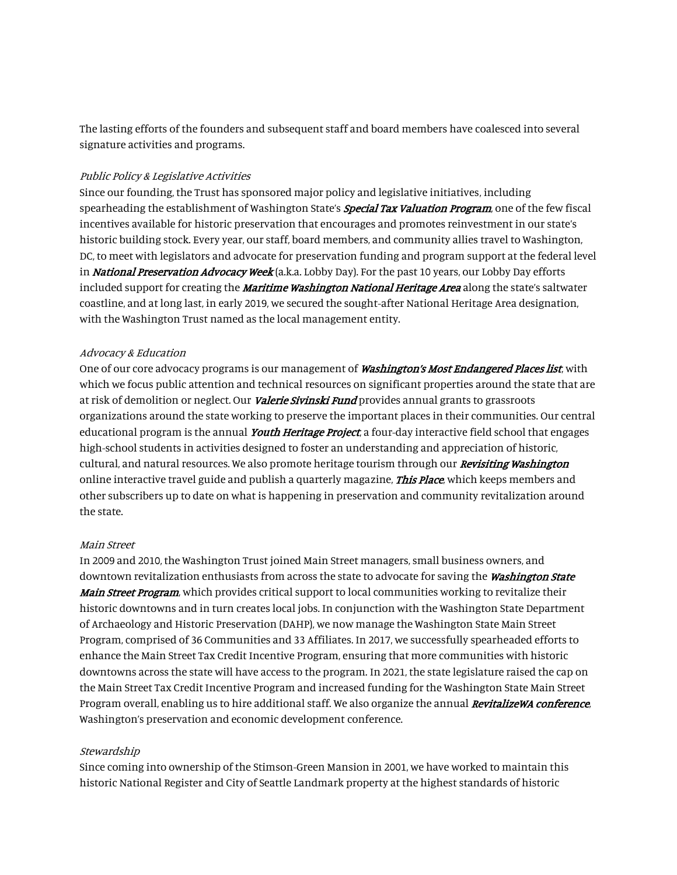The lasting efforts of the founders and subsequent staff and board members have coalesced into several signature activities and programs.

## Public Policy & Legislative Activities

Since our founding, the Trust has sponsored major policy and legislative initiatives, including spearheading the establishment of Washington State's **Special Tax Valuation Program**, one of the few fiscal incentives available for historic preservation that encourages and promotes reinvestment in our state's historic building stock. Every year, our staff, board members, and community allies travel to Washington, DC, to meet with legislators and advocate for preservation funding and program support at the federal level in National Preservation Advocacy Week (a.k.a. Lobby Day). For the past 10 years, our Lobby Day efforts included support for creating the **Maritime Washington National Heritage Area** along the state's saltwater coastline, and at long last, in early 2019, we secured the sought-after National Heritage Area designation, with the Washington Trust named as the local management entity.

## Advocacy & Education

One of our core advocacy programs is our management of Washington's Most Endangered Places list, with which we focus public attention and technical resources on significant properties around the state that are at risk of demolition or neglect. Our *Valerie Sivinski Fund* provides annual grants to grassroots organizations around the state working to preserve the important places in their communities. Our central educational program is the annual **Youth Heritage Project**, a four-day interactive field school that engages high-school students in activities designed to foster an understanding and appreciation of historic, cultural, and natural resources. We also promote heritage tourism through our *Revisiting Washington* online interactive travel guide and publish a quarterly magazine, *This Place*, which keeps members and other subscribers up to date on what is happening in preservation and community revitalization around the state.

### Main Street

In 2009 and 2010, the Washington Trust joined Main Street managers, small business owners, and downtown revitalization enthusiasts from across the state to advocate for saving the Washington State Main Street Program, which provides critical support to local communities working to revitalize their historic downtowns and in turn creates local jobs. In conjunction with the Washington State Department of Archaeology and Historic Preservation (DAHP), we now manage the Washington State Main Street Program, comprised of 36 Communities and 33 Affiliates. In 2017, we successfully spearheaded efforts to enhance the Main Street Tax Credit Incentive Program, ensuring that more communities with historic downtowns across the state will have access to the program. In 2021, the state legislature raised the cap on the Main Street Tax Credit Incentive Program and increased funding for the Washington State Main Street Program overall, enabling us to hire additional staff. We also organize the annual RevitalizeWA conference, Washington's preservation and economic development conference.

#### Stewardship

Since coming into ownership of the Stimson-Green Mansion in 2001, we have worked to maintain this historic National Register and City of Seattle Landmark property at the highest standards of historic